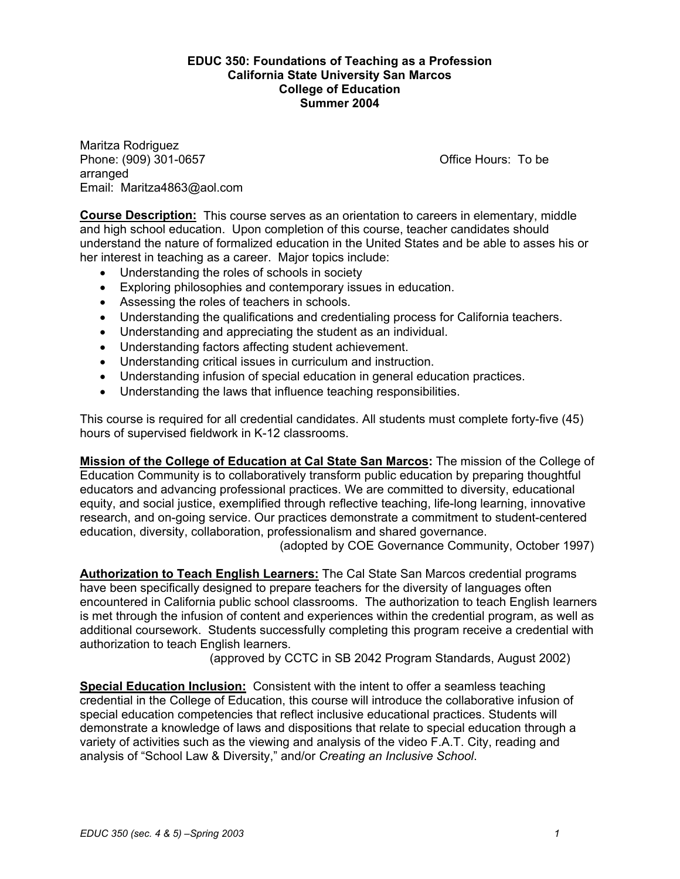#### **EDUC 350: Foundations of Teaching as a Profession California State University San Marcos College of Education Summer 2004**

Maritza Rodriguez Phone: (909) 301-0657 Channel Controllery Controllery Controllery Controllery Controllery Controllery Controllery Controllery Controllery Controllery Controllery Controllery Controllery Controllery Controllery Controllery arranged Email: Maritza4863@aol.com

**Course Description:** This course serves as an orientation to careers in elementary, middle and high school education. Upon completion of this course, teacher candidates should understand the nature of formalized education in the United States and be able to asses his or her interest in teaching as a career. Major topics include:

- Understanding the roles of schools in society
- Exploring philosophies and contemporary issues in education.
- Assessing the roles of teachers in schools.
- Understanding the qualifications and credentialing process for California teachers.
- Understanding and appreciating the student as an individual.
- Understanding factors affecting student achievement.
- Understanding critical issues in curriculum and instruction.
- Understanding infusion of special education in general education practices.
- Understanding the laws that influence teaching responsibilities.

This course is required for all credential candidates. All students must complete forty-five (45) hours of supervised fieldwork in K-12 classrooms.

**Mission of the College of Education at Cal State San Marcos:** The mission of the College of Education Community is to collaboratively transform public education by preparing thoughtful educators and advancing professional practices. We are committed to diversity, educational equity, and social justice, exemplified through reflective teaching, life-long learning, innovative research, and on-going service. Our practices demonstrate a commitment to student-centered education, diversity, collaboration, professionalism and shared governance.

(adopted by COE Governance Community, October 1997)

**Authorization to Teach English Learners:** The Cal State San Marcos credential programs have been specifically designed to prepare teachers for the diversity of languages often encountered in California public school classrooms. The authorization to teach English learners is met through the infusion of content and experiences within the credential program, as well as additional coursework. Students successfully completing this program receive a credential with authorization to teach English learners.

(approved by CCTC in SB 2042 Program Standards, August 2002)

**Special Education Inclusion:** Consistent with the intent to offer a seamless teaching credential in the College of Education, this course will introduce the collaborative infusion of special education competencies that reflect inclusive educational practices. Students will demonstrate a knowledge of laws and dispositions that relate to special education through a variety of activities such as the viewing and analysis of the video F.A.T. City, reading and analysis of "School Law & Diversity," and/or *Creating an Inclusive School*.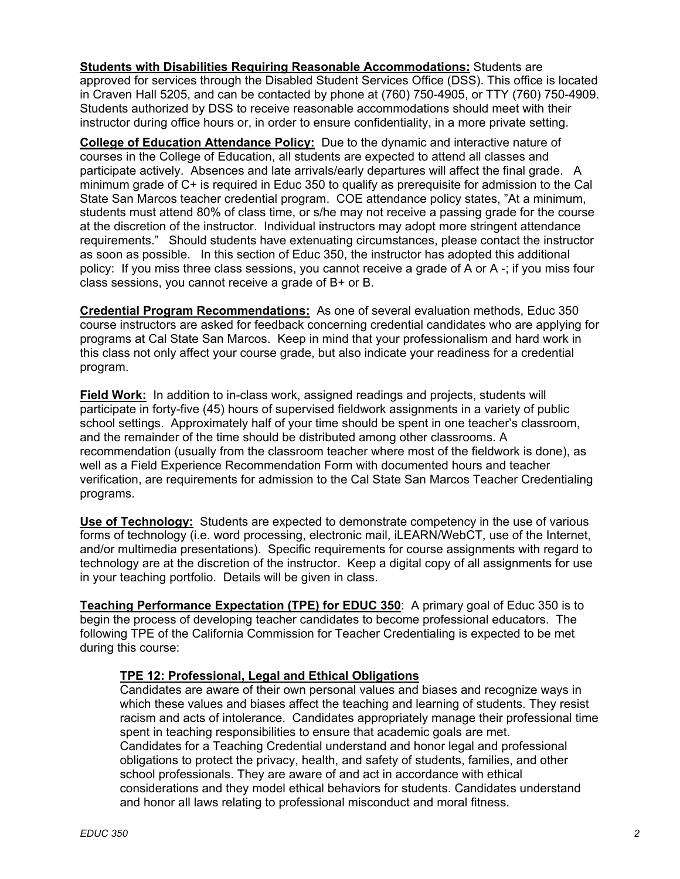**Students with Disabilities Requiring Reasonable Accommodations:** Students are approved for services through the Disabled Student Services Office (DSS). This office is located in Craven Hall 5205, and can be contacted by phone at (760) 750-4905, or TTY (760) 750-4909. Students authorized by DSS to receive reasonable accommodations should meet with their instructor during office hours or, in order to ensure confidentiality, in a more private setting.

**College of Education Attendance Policy:** Due to the dynamic and interactive nature of courses in the College of Education, all students are expected to attend all classes and participate actively. Absences and late arrivals/early departures will affect the final grade. A minimum grade of C+ is required in Educ 350 to qualify as prerequisite for admission to the Cal State San Marcos teacher credential program. COE attendance policy states, "At a minimum, students must attend 80% of class time, or s/he may not receive a passing grade for the course at the discretion of the instructor. Individual instructors may adopt more stringent attendance requirements." Should students have extenuating circumstances, please contact the instructor as soon as possible. In this section of Educ 350, the instructor has adopted this additional policy: If you miss three class sessions, you cannot receive a grade of A or A -; if you miss four class sessions, you cannot receive a grade of B+ or B.

**Credential Program Recommendations:** As one of several evaluation methods, Educ 350 course instructors are asked for feedback concerning credential candidates who are applying for programs at Cal State San Marcos. Keep in mind that your professionalism and hard work in this class not only affect your course grade, but also indicate your readiness for a credential program.

**Field Work:** In addition to in-class work, assigned readings and projects, students will participate in forty-five (45) hours of supervised fieldwork assignments in a variety of public school settings. Approximately half of your time should be spent in one teacher's classroom, and the remainder of the time should be distributed among other classrooms. A recommendation (usually from the classroom teacher where most of the fieldwork is done), as well as a Field Experience Recommendation Form with documented hours and teacher verification, are requirements for admission to the Cal State San Marcos Teacher Credentialing programs.

**Use of Technology:** Students are expected to demonstrate competency in the use of various forms of technology (i.e. word processing, electronic mail, iLEARN/WebCT, use of the Internet, and/or multimedia presentations). Specific requirements for course assignments with regard to technology are at the discretion of the instructor. Keep a digital copy of all assignments for use in your teaching portfolio. Details will be given in class.

**Teaching Performance Expectation (TPE) for EDUC 350**: A primary goal of Educ 350 is to begin the process of developing teacher candidates to become professional educators. The following TPE of the California Commission for Teacher Credentialing is expected to be met during this course:

### **TPE 12: Professional, Legal and Ethical Obligations**

Candidates are aware of their own personal values and biases and recognize ways in which these values and biases affect the teaching and learning of students. They resist racism and acts of intolerance. Candidates appropriately manage their professional time spent in teaching responsibilities to ensure that academic goals are met. Candidates for a Teaching Credential understand and honor legal and professional obligations to protect the privacy, health, and safety of students, families, and other school professionals. They are aware of and act in accordance with ethical considerations and they model ethical behaviors for students. Candidates understand and honor all laws relating to professional misconduct and moral fitness.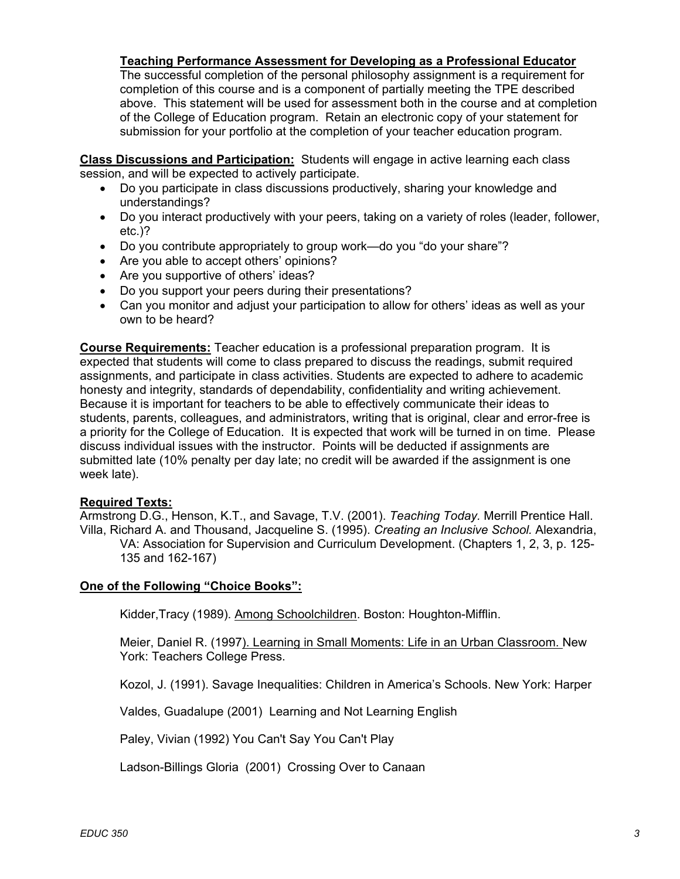**Teaching Performance Assessment for Developing as a Professional Educator**

The successful completion of the personal philosophy assignment is a requirement for completion of this course and is a component of partially meeting the TPE described above. This statement will be used for assessment both in the course and at completion of the College of Education program. Retain an electronic copy of your statement for submission for your portfolio at the completion of your teacher education program.

**Class Discussions and Participation:** Students will engage in active learning each class session, and will be expected to actively participate.

- Do you participate in class discussions productively, sharing your knowledge and understandings?
- Do you interact productively with your peers, taking on a variety of roles (leader, follower, etc.)?
- Do you contribute appropriately to group work—do you "do your share"?
- Are you able to accept others' opinions?
- Are you supportive of others' ideas?
- Do you support your peers during their presentations?
- Can you monitor and adjust your participation to allow for others' ideas as well as your own to be heard?

**Course Requirements:** Teacher education is a professional preparation program. It is expected that students will come to class prepared to discuss the readings, submit required assignments, and participate in class activities. Students are expected to adhere to academic honesty and integrity, standards of dependability, confidentiality and writing achievement. Because it is important for teachers to be able to effectively communicate their ideas to students, parents, colleagues, and administrators, writing that is original, clear and error-free is a priority for the College of Education. It is expected that work will be turned in on time. Please discuss individual issues with the instructor. Points will be deducted if assignments are submitted late (10% penalty per day late; no credit will be awarded if the assignment is one week late).

### **Required Texts:**

Armstrong D.G., Henson, K.T., and Savage, T.V. (2001). *Teaching Today.* Merrill Prentice Hall. Villa, Richard A. and Thousand, Jacqueline S. (1995). *Creating an Inclusive School.* Alexandria, VA: Association for Supervision and Curriculum Development. (Chapters 1, 2, 3, p. 125- 135 and 162-167)

### **One of the Following "Choice Books":**

Kidder,Tracy (1989). Among Schoolchildren. Boston: Houghton-Mifflin.

Meier, Daniel R. (1997). Learning in Small Moments: Life in an Urban Classroom. New York: Teachers College Press.

Kozol, J. (1991). Savage Inequalities: Children in America's Schools. New York: Harper

Valdes, Guadalupe (2001) Learning and Not Learning English

Paley, Vivian (1992) You Can't Say You Can't Play

Ladson-Billings Gloria (2001) Crossing Over to Canaan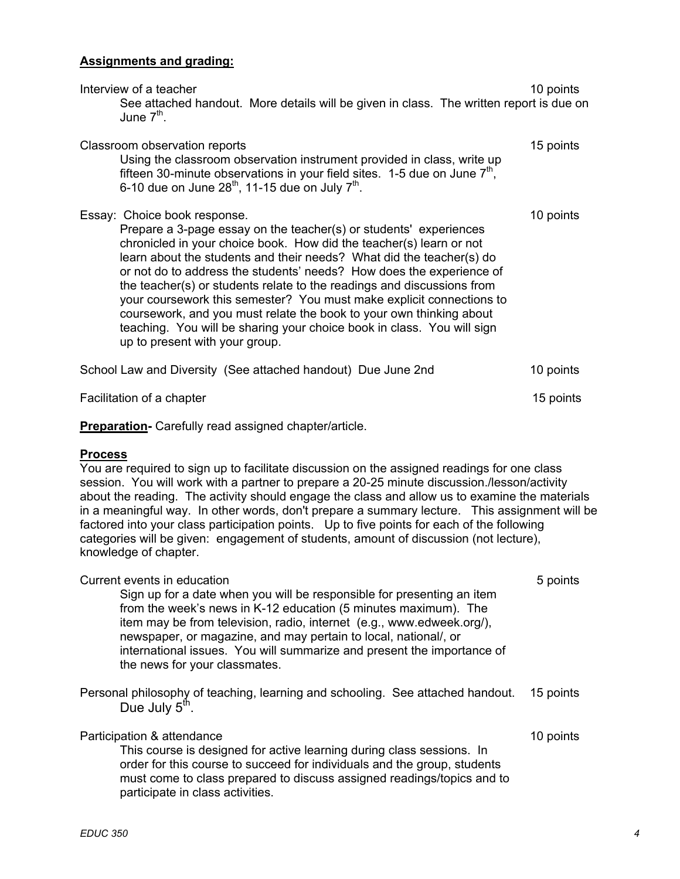### **Assignments and grading:**

| Interview of a teacher<br>See attached handout. More details will be given in class. The written report is due on<br>June $7th$ .                                                                                                                                                                                                                                                                                                                                                                                                                                                                                                                             | 10 points |
|---------------------------------------------------------------------------------------------------------------------------------------------------------------------------------------------------------------------------------------------------------------------------------------------------------------------------------------------------------------------------------------------------------------------------------------------------------------------------------------------------------------------------------------------------------------------------------------------------------------------------------------------------------------|-----------|
| Classroom observation reports<br>Using the classroom observation instrument provided in class, write up<br>fifteen 30-minute observations in your field sites. 1-5 due on June $7th$ ,<br>6-10 due on June $28^{th}$ , 11-15 due on July $7^{th}$ .                                                                                                                                                                                                                                                                                                                                                                                                           | 15 points |
| Essay: Choice book response.<br>Prepare a 3-page essay on the teacher(s) or students' experiences<br>chronicled in your choice book. How did the teacher(s) learn or not<br>learn about the students and their needs? What did the teacher(s) do<br>or not do to address the students' needs? How does the experience of<br>the teacher(s) or students relate to the readings and discussions from<br>your coursework this semester? You must make explicit connections to<br>coursework, and you must relate the book to your own thinking about<br>teaching. You will be sharing your choice book in class. You will sign<br>up to present with your group. | 10 points |
| School Law and Diversity (See attached handout) Due June 2nd                                                                                                                                                                                                                                                                                                                                                                                                                                                                                                                                                                                                  | 10 points |
| Facilitation of a chapter                                                                                                                                                                                                                                                                                                                                                                                                                                                                                                                                                                                                                                     | 15 points |

**Preparation-** Carefully read assigned chapter/article.

### **Process**

You are required to sign up to facilitate discussion on the assigned readings for one class session. You will work with a partner to prepare a 20-25 minute discussion./lesson/activity about the reading. The activity should engage the class and allow us to examine the materials in a meaningful way. In other words, don't prepare a summary lecture. This assignment will be factored into your class participation points. Up to five points for each of the following categories will be given: engagement of students, amount of discussion (not lecture), knowledge of chapter.

| Current events in education<br>Sign up for a date when you will be responsible for presenting an item<br>from the week's news in K-12 education (5 minutes maximum). The<br>item may be from television, radio, internet (e.g., www.edweek.org/),<br>newspaper, or magazine, and may pertain to local, national/, or<br>international issues. You will summarize and present the importance of<br>the news for your classmates. | 5 points  |
|---------------------------------------------------------------------------------------------------------------------------------------------------------------------------------------------------------------------------------------------------------------------------------------------------------------------------------------------------------------------------------------------------------------------------------|-----------|
| Personal philosophy of teaching, learning and schooling. See attached handout.<br>Due July 5 <sup>th</sup> .                                                                                                                                                                                                                                                                                                                    | 15 points |
| Participation & attendance<br>This course is designed for active learning during class sessions. In<br>order for this course to succeed for individuals and the group, students<br>must come to class prepared to discuss assigned readings/topics and to<br>participate in class activities.                                                                                                                                   | 10 points |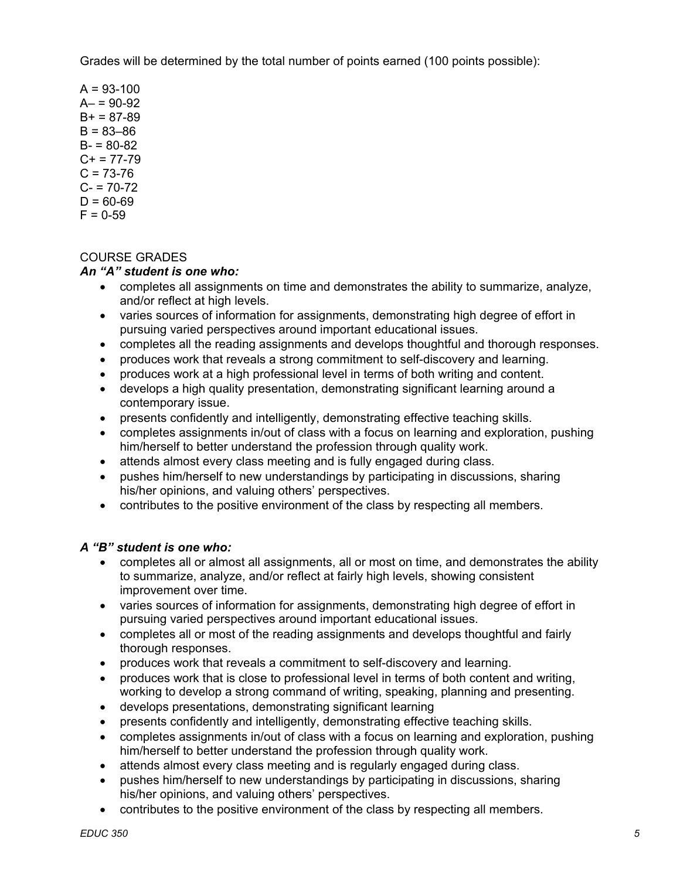Grades will be determined by the total number of points earned (100 points possible):

 $A = 93 - 100$  $A - 90 - 92$  $B+ = 87-89$  $B = 83 - 86$  $B - 80 - 82$  $C+ = 77-79$  $C = 73-76$  $C - 70 - 72$  $D = 60-69$  $F = 0-59$ 

# COURSE GRADES

### *An "A" student is one who:*

- completes all assignments on time and demonstrates the ability to summarize, analyze, and/or reflect at high levels.
- varies sources of information for assignments, demonstrating high degree of effort in pursuing varied perspectives around important educational issues.
- completes all the reading assignments and develops thoughtful and thorough responses.
- produces work that reveals a strong commitment to self-discovery and learning.
- produces work at a high professional level in terms of both writing and content.
- develops a high quality presentation, demonstrating significant learning around a contemporary issue.
- presents confidently and intelligently, demonstrating effective teaching skills.
- completes assignments in/out of class with a focus on learning and exploration, pushing him/herself to better understand the profession through quality work.
- attends almost every class meeting and is fully engaged during class.
- pushes him/herself to new understandings by participating in discussions, sharing his/her opinions, and valuing others' perspectives.
- contributes to the positive environment of the class by respecting all members.

#### *A "B" student is one who:*

- completes all or almost all assignments, all or most on time, and demonstrates the ability to summarize, analyze, and/or reflect at fairly high levels, showing consistent improvement over time.
- varies sources of information for assignments, demonstrating high degree of effort in pursuing varied perspectives around important educational issues.
- completes all or most of the reading assignments and develops thoughtful and fairly thorough responses.
- produces work that reveals a commitment to self-discovery and learning.
- produces work that is close to professional level in terms of both content and writing, working to develop a strong command of writing, speaking, planning and presenting.
- develops presentations, demonstrating significant learning
- presents confidently and intelligently, demonstrating effective teaching skills.
- completes assignments in/out of class with a focus on learning and exploration, pushing him/herself to better understand the profession through quality work.
- attends almost every class meeting and is regularly engaged during class.
- pushes him/herself to new understandings by participating in discussions, sharing his/her opinions, and valuing others' perspectives.
- contributes to the positive environment of the class by respecting all members.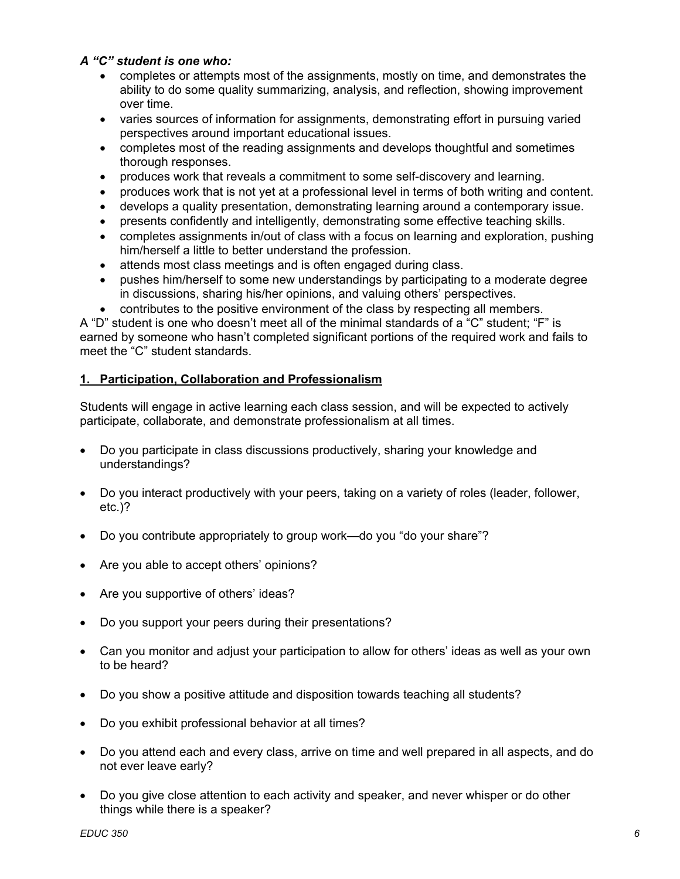### *A "C" student is one who:*

- completes or attempts most of the assignments, mostly on time, and demonstrates the ability to do some quality summarizing, analysis, and reflection, showing improvement over time.
- varies sources of information for assignments, demonstrating effort in pursuing varied perspectives around important educational issues.
- completes most of the reading assignments and develops thoughtful and sometimes thorough responses.
- produces work that reveals a commitment to some self-discovery and learning.
- produces work that is not yet at a professional level in terms of both writing and content.
- develops a quality presentation, demonstrating learning around a contemporary issue.
- presents confidently and intelligently, demonstrating some effective teaching skills.
- completes assignments in/out of class with a focus on learning and exploration, pushing him/herself a little to better understand the profession.
- attends most class meetings and is often engaged during class.
- pushes him/herself to some new understandings by participating to a moderate degree in discussions, sharing his/her opinions, and valuing others' perspectives.
- contributes to the positive environment of the class by respecting all members.

A "D" student is one who doesn't meet all of the minimal standards of a "C" student; "F" is earned by someone who hasn't completed significant portions of the required work and fails to meet the "C" student standards.

# **1. Participation, Collaboration and Professionalism**

Students will engage in active learning each class session, and will be expected to actively participate, collaborate, and demonstrate professionalism at all times.

- Do you participate in class discussions productively, sharing your knowledge and understandings?
- Do you interact productively with your peers, taking on a variety of roles (leader, follower, etc.)?
- Do you contribute appropriately to group work—do you "do your share"?
- Are you able to accept others' opinions?
- Are you supportive of others' ideas?
- Do you support your peers during their presentations?
- Can you monitor and adjust your participation to allow for others' ideas as well as your own to be heard?
- Do you show a positive attitude and disposition towards teaching all students?
- Do you exhibit professional behavior at all times?
- Do you attend each and every class, arrive on time and well prepared in all aspects, and do not ever leave early?
- Do you give close attention to each activity and speaker, and never whisper or do other things while there is a speaker?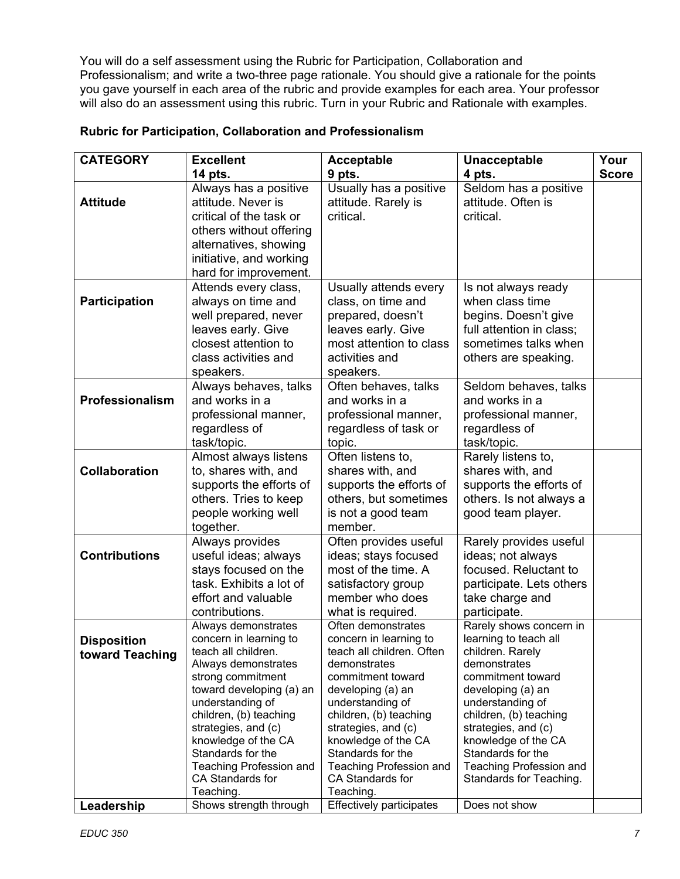You will do a self assessment using the Rubric for Participation, Collaboration and Professionalism; and write a two-three page rationale. You should give a rationale for the points you gave yourself in each area of the rubric and provide examples for each area. Your professor will also do an assessment using this rubric. Turn in your Rubric and Rationale with examples.

| <b>CATEGORY</b>      | <b>Excellent</b>                         | <b>Acceptable</b>                                   | <b>Unacceptable</b>                       | Your         |
|----------------------|------------------------------------------|-----------------------------------------------------|-------------------------------------------|--------------|
|                      | 14 pts.                                  | 9 pts.                                              | 4 pts.                                    | <b>Score</b> |
|                      | Always has a positive                    | Usually has a positive                              | Seldom has a positive                     |              |
| <b>Attitude</b>      | attitude. Never is                       | attitude. Rarely is                                 | attitude. Often is                        |              |
|                      | critical of the task or                  | critical.                                           | critical.                                 |              |
|                      | others without offering                  |                                                     |                                           |              |
|                      | alternatives, showing                    |                                                     |                                           |              |
|                      | initiative, and working                  |                                                     |                                           |              |
|                      | hard for improvement.                    |                                                     |                                           |              |
|                      |                                          |                                                     |                                           |              |
|                      | Attends every class,                     | Usually attends every                               | Is not always ready                       |              |
| Participation        | always on time and                       | class, on time and                                  | when class time                           |              |
|                      | well prepared, never                     | prepared, doesn't                                   | begins. Doesn't give                      |              |
|                      | leaves early. Give                       | leaves early. Give                                  | full attention in class;                  |              |
|                      | closest attention to                     | most attention to class                             | sometimes talks when                      |              |
|                      | class activities and                     | activities and                                      | others are speaking.                      |              |
|                      | speakers.                                | speakers.                                           |                                           |              |
|                      | Always behaves, talks                    | Often behaves, talks                                | Seldom behaves, talks                     |              |
| Professionalism      | and works in a                           | and works in a                                      | and works in a                            |              |
|                      | professional manner,                     | professional manner,                                | professional manner,                      |              |
|                      | regardless of                            | regardless of task or                               | regardless of                             |              |
|                      | task/topic.                              | topic.                                              | task/topic.                               |              |
|                      | Almost always listens                    | Often listens to,                                   | Rarely listens to,                        |              |
| <b>Collaboration</b> | to, shares with, and                     | shares with, and                                    | shares with, and                          |              |
|                      | supports the efforts of                  | supports the efforts of                             | supports the efforts of                   |              |
|                      | others. Tries to keep                    | others, but sometimes                               | others. Is not always a                   |              |
|                      | people working well                      | is not a good team                                  | good team player.                         |              |
|                      | together.                                | member.                                             |                                           |              |
|                      | Always provides                          | Often provides useful                               | Rarely provides useful                    |              |
| <b>Contributions</b> | useful ideas; always                     | ideas; stays focused                                | ideas; not always                         |              |
|                      |                                          | most of the time. A                                 | focused. Reluctant to                     |              |
|                      | stays focused on the                     |                                                     |                                           |              |
|                      | task. Exhibits a lot of                  | satisfactory group                                  | participate. Lets others                  |              |
|                      | effort and valuable                      | member who does                                     | take charge and                           |              |
|                      | contributions.                           | what is required.                                   | participate.                              |              |
|                      | Always demonstrates                      | Often demonstrates                                  | Rarely shows concern in                   |              |
| <b>Disposition</b>   | concern in learning to                   | concern in learning to<br>teach all children. Often | learning to teach all<br>children. Rarely |              |
| toward Teaching      | teach all children.                      | demonstrates                                        | demonstrates                              |              |
|                      | Always demonstrates<br>strong commitment | commitment toward                                   | commitment toward                         |              |
|                      | toward developing (a) an                 | developing (a) an                                   | developing (a) an                         |              |
|                      | understanding of                         | understanding of                                    | understanding of                          |              |
|                      | children, (b) teaching                   | children, (b) teaching                              | children, (b) teaching                    |              |
|                      | strategies, and (c)                      | strategies, and (c)                                 | strategies, and (c)                       |              |
|                      | knowledge of the CA                      | knowledge of the CA                                 | knowledge of the CA                       |              |
|                      | Standards for the                        | Standards for the                                   | Standards for the                         |              |
|                      | Teaching Profession and                  | Teaching Profession and                             | <b>Teaching Profession and</b>            |              |
|                      | CA Standards for                         | CA Standards for                                    | Standards for Teaching.                   |              |
|                      | Teaching.                                | Teaching.                                           |                                           |              |
| Leadership           | Shows strength through                   | <b>Effectively participates</b>                     | Does not show                             |              |

### **Rubric for Participation, Collaboration and Professionalism**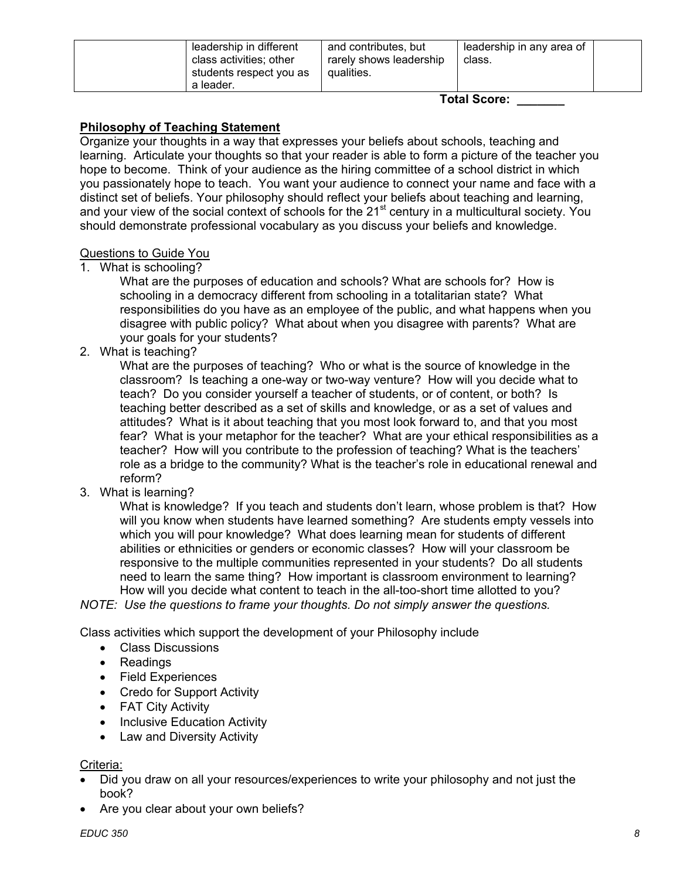| leadership in different<br>class activities; other<br>students respect you as<br>a leader. | and contributes, but<br>rarely shows leadership<br>qualities. | leadership in any area of<br>class. |  |
|--------------------------------------------------------------------------------------------|---------------------------------------------------------------|-------------------------------------|--|
|--------------------------------------------------------------------------------------------|---------------------------------------------------------------|-------------------------------------|--|

# **Philosophy of Teaching Statement**

Organize your thoughts in a way that expresses your beliefs about schools, teaching and learning. Articulate your thoughts so that your reader is able to form a picture of the teacher you hope to become. Think of your audience as the hiring committee of a school district in which you passionately hope to teach. You want your audience to connect your name and face with a distinct set of beliefs. Your philosophy should reflect your beliefs about teaching and learning, and vour view of the social context of schools for the 21<sup>st</sup> century in a multicultural society. You should demonstrate professional vocabulary as you discuss your beliefs and knowledge.

### Questions to Guide You

1. What is schooling?

What are the purposes of education and schools? What are schools for? How is schooling in a democracy different from schooling in a totalitarian state? What responsibilities do you have as an employee of the public, and what happens when you disagree with public policy? What about when you disagree with parents? What are your goals for your students?

2. What is teaching?

What are the purposes of teaching? Who or what is the source of knowledge in the classroom? Is teaching a one-way or two-way venture? How will you decide what to teach? Do you consider yourself a teacher of students, or of content, or both? Is teaching better described as a set of skills and knowledge, or as a set of values and attitudes? What is it about teaching that you most look forward to, and that you most fear? What is your metaphor for the teacher? What are your ethical responsibilities as a teacher? How will you contribute to the profession of teaching? What is the teachers' role as a bridge to the community? What is the teacher's role in educational renewal and reform?

3. What is learning?

What is knowledge? If you teach and students don't learn, whose problem is that? How will you know when students have learned something? Are students empty vessels into which you will pour knowledge? What does learning mean for students of different abilities or ethnicities or genders or economic classes? How will your classroom be responsive to the multiple communities represented in your students? Do all students need to learn the same thing? How important is classroom environment to learning? How will you decide what content to teach in the all-too-short time allotted to you?

*NOTE: Use the questions to frame your thoughts. Do not simply answer the questions.* 

Class activities which support the development of your Philosophy include

- Class Discussions
- Readings
- Field Experiences
- Credo for Support Activity
- FAT City Activity
- Inclusive Education Activity
- Law and Diversity Activity

#### Criteria:

- Did you draw on all your resources/experiences to write your philosophy and not just the book?
- Are you clear about your own beliefs?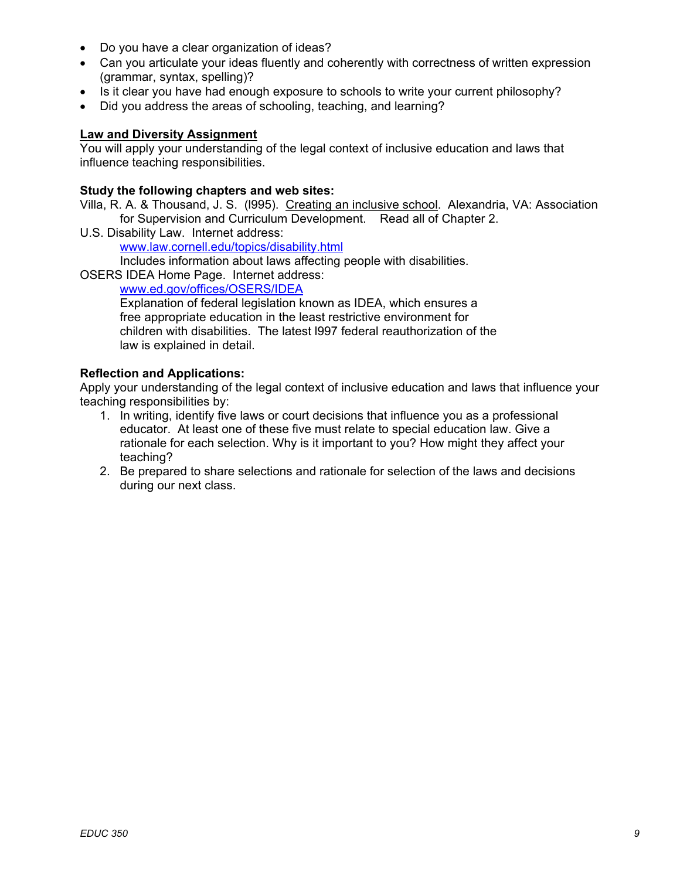- Do you have a clear organization of ideas?
- Can you articulate your ideas fluently and coherently with correctness of written expression (grammar, syntax, spelling)?
- Is it clear you have had enough exposure to schools to write your current philosophy?
- Did you address the areas of schooling, teaching, and learning?

#### **Law and Diversity Assignment**

You will apply your understanding of the legal context of inclusive education and laws that influence teaching responsibilities.

### **Study the following chapters and web sites:**

Villa, R. A. & Thousand, J. S. (l995). Creating an inclusive school. Alexandria, VA: Association for Supervision and Curriculum Development. Read all of Chapter 2.

U.S. Disability Law. Internet address:

www.law.cornell.edu/topics/disability.html

Includes information about laws affecting people with disabilities.

OSERS IDEA Home Page. Internet address:

www.ed.gov/offices/OSERS/IDEA

Explanation of federal legislation known as IDEA, which ensures a free appropriate education in the least restrictive environment for children with disabilities. The latest l997 federal reauthorization of the law is explained in detail.

### **Reflection and Applications:**

Apply your understanding of the legal context of inclusive education and laws that influence your teaching responsibilities by:

- 1. In writing, identify five laws or court decisions that influence you as a professional educator. At least one of these five must relate to special education law. Give a rationale for each selection. Why is it important to you? How might they affect your teaching?
- 2. Be prepared to share selections and rationale for selection of the laws and decisions during our next class.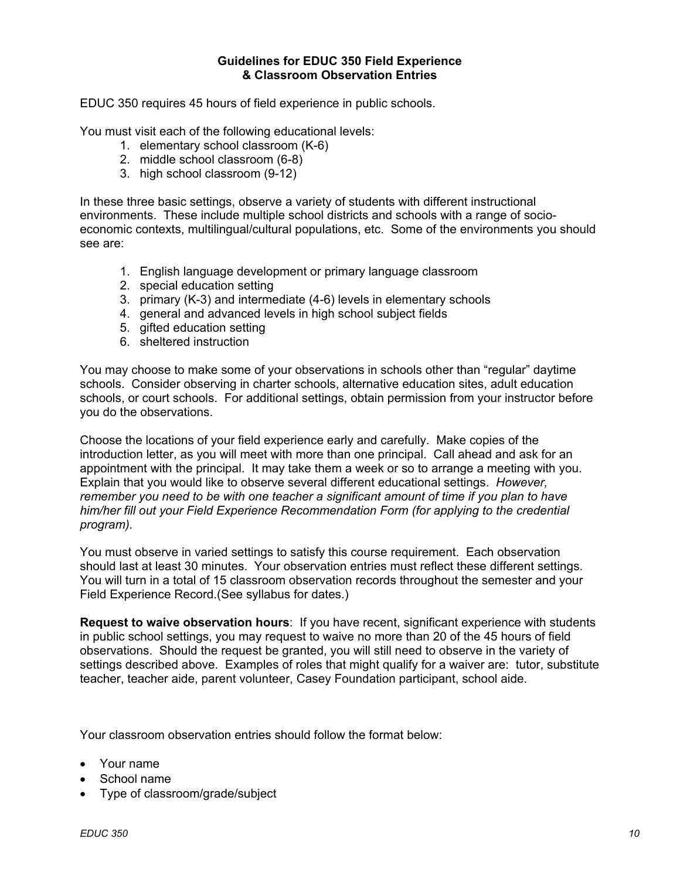#### **Guidelines for EDUC 350 Field Experience & Classroom Observation Entries**

EDUC 350 requires 45 hours of field experience in public schools.

You must visit each of the following educational levels:

- 1. elementary school classroom (K-6)
- 2. middle school classroom (6-8)
- 3. high school classroom (9-12)

In these three basic settings, observe a variety of students with different instructional environments. These include multiple school districts and schools with a range of socioeconomic contexts, multilingual/cultural populations, etc. Some of the environments you should see are:

- 1. English language development or primary language classroom
- 2. special education setting
- 3. primary (K-3) and intermediate (4-6) levels in elementary schools
- 4. general and advanced levels in high school subject fields
- 5. gifted education setting
- 6. sheltered instruction

You may choose to make some of your observations in schools other than "regular" daytime schools. Consider observing in charter schools, alternative education sites, adult education schools, or court schools. For additional settings, obtain permission from your instructor before you do the observations.

Choose the locations of your field experience early and carefully. Make copies of the introduction letter, as you will meet with more than one principal. Call ahead and ask for an appointment with the principal. It may take them a week or so to arrange a meeting with you. Explain that you would like to observe several different educational settings. *However, remember you need to be with one teacher a significant amount of time if you plan to have him/her fill out your Field Experience Recommendation Form (for applying to the credential program).* 

You must observe in varied settings to satisfy this course requirement. Each observation should last at least 30 minutes. Your observation entries must reflect these different settings. You will turn in a total of 15 classroom observation records throughout the semester and your Field Experience Record.(See syllabus for dates.)

**Request to waive observation hours**: If you have recent, significant experience with students in public school settings, you may request to waive no more than 20 of the 45 hours of field observations. Should the request be granted, you will still need to observe in the variety of settings described above. Examples of roles that might qualify for a waiver are: tutor, substitute teacher, teacher aide, parent volunteer, Casey Foundation participant, school aide.

Your classroom observation entries should follow the format below:

- Your name
- School name
- Type of classroom/grade/subject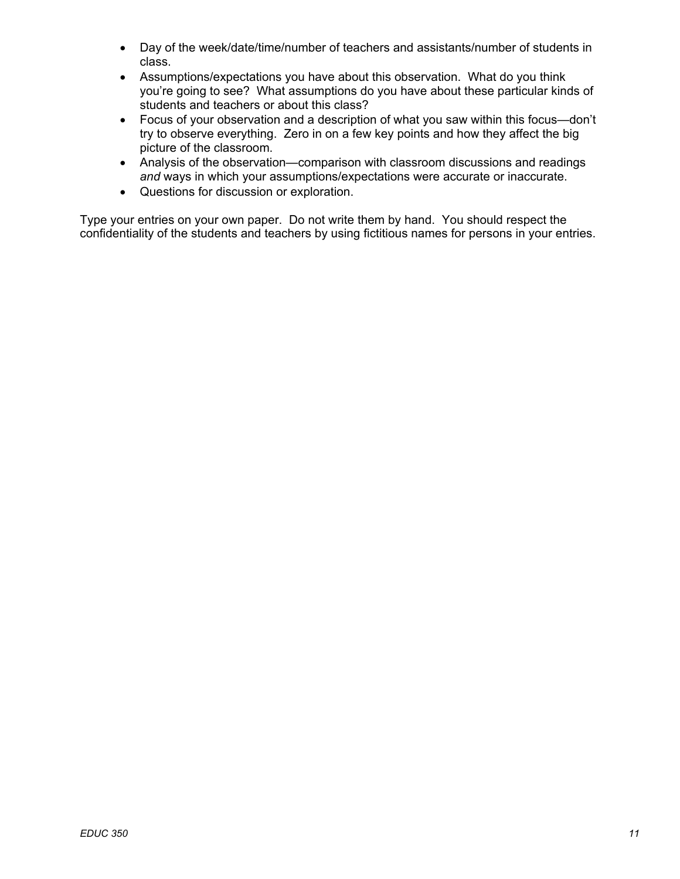- Day of the week/date/time/number of teachers and assistants/number of students in class.
- Assumptions/expectations you have about this observation. What do you think you're going to see? What assumptions do you have about these particular kinds of students and teachers or about this class?
- Focus of your observation and a description of what you saw within this focus—don't try to observe everything. Zero in on a few key points and how they affect the big picture of the classroom.
- Analysis of the observation—comparison with classroom discussions and readings and ways in which your assumptions/expectations were accurate or inaccurate.
- Questions for discussion or exploration.

Type your entries on your own paper. Do not write them by hand. You should respect the confidentiality of the students and teachers by using fictitious names for persons in your entries.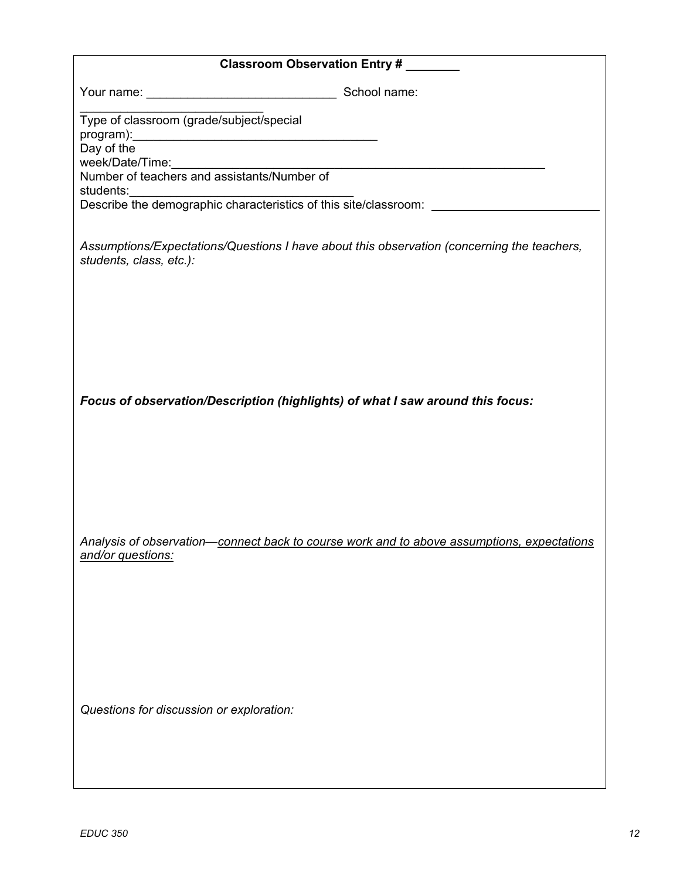|                                                                                                                       | Classroom Observation Entry # |
|-----------------------------------------------------------------------------------------------------------------------|-------------------------------|
|                                                                                                                       |                               |
| Type of classroom (grade/subject/special<br>Day of the                                                                |                               |
| week/Date/Time:<br>Number of teachers and assistants/Number of                                                        |                               |
|                                                                                                                       |                               |
|                                                                                                                       |                               |
| Assumptions/Expectations/Questions I have about this observation (concerning the teachers,<br>students, class, etc.): |                               |
|                                                                                                                       |                               |
|                                                                                                                       |                               |
|                                                                                                                       |                               |
|                                                                                                                       |                               |
|                                                                                                                       |                               |
| Focus of observation/Description (highlights) of what I saw around this focus:                                        |                               |
|                                                                                                                       |                               |
|                                                                                                                       |                               |
|                                                                                                                       |                               |
|                                                                                                                       |                               |
| Analysis of observation-connect back to course work and to above assumptions, expectations                            |                               |
| and/or questions:                                                                                                     |                               |
|                                                                                                                       |                               |
|                                                                                                                       |                               |
|                                                                                                                       |                               |
|                                                                                                                       |                               |
|                                                                                                                       |                               |
| Questions for discussion or exploration:                                                                              |                               |
|                                                                                                                       |                               |
|                                                                                                                       |                               |
|                                                                                                                       |                               |
|                                                                                                                       |                               |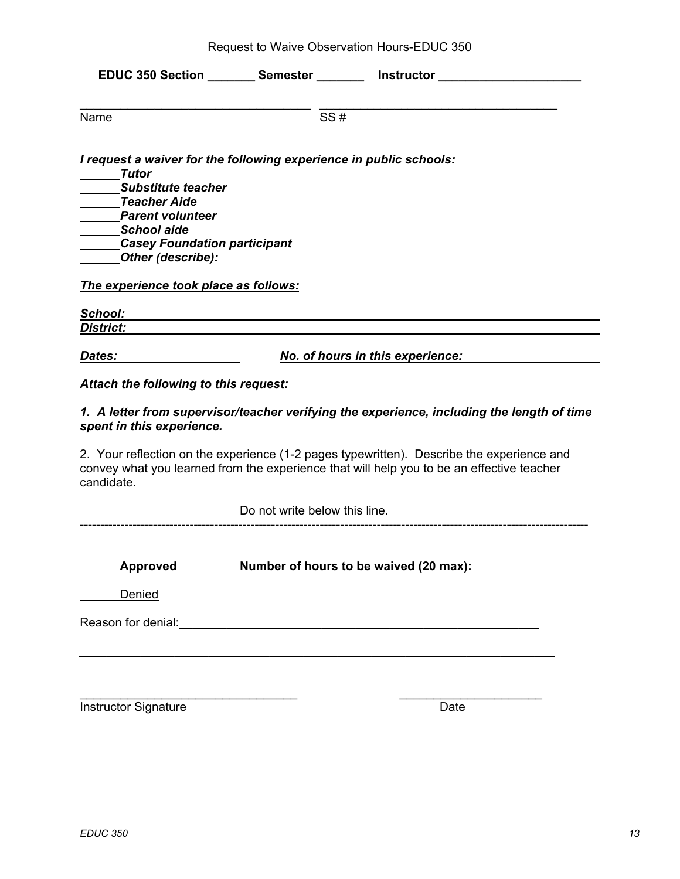|                                                                                                                                                                        |                                                                    | EDUC 350 Section ________ Semester ________ Instructor _________                                                                                                                       |
|------------------------------------------------------------------------------------------------------------------------------------------------------------------------|--------------------------------------------------------------------|----------------------------------------------------------------------------------------------------------------------------------------------------------------------------------------|
| Name                                                                                                                                                                   | SS#                                                                |                                                                                                                                                                                        |
| Tutor<br><b>Substitute teacher</b><br><b>Teacher Aide</b><br><b>Parent volunteer</b><br><b>School aide</b><br><b>Casey Foundation participant</b><br>Other (describe): | I request a waiver for the following experience in public schools: |                                                                                                                                                                                        |
| The experience took place as follows:                                                                                                                                  |                                                                    |                                                                                                                                                                                        |
| School:                                                                                                                                                                |                                                                    |                                                                                                                                                                                        |
| <u>District:</u>                                                                                                                                                       |                                                                    |                                                                                                                                                                                        |
| <u>Dates:</u>                                                                                                                                                          |                                                                    | No. of hours in this experience:                                                                                                                                                       |
| Attach the following to this request:                                                                                                                                  |                                                                    |                                                                                                                                                                                        |
| spent in this experience.                                                                                                                                              |                                                                    | 1. A letter from supervisor/teacher verifying the experience, including the length of time                                                                                             |
| candidate.                                                                                                                                                             |                                                                    | 2. Your reflection on the experience (1-2 pages typewritten). Describe the experience and<br>convey what you learned from the experience that will help you to be an effective teacher |
|                                                                                                                                                                        | Do not write below this line.                                      |                                                                                                                                                                                        |
| Approved                                                                                                                                                               |                                                                    | Number of hours to be waived (20 max):                                                                                                                                                 |
| Denied                                                                                                                                                                 |                                                                    |                                                                                                                                                                                        |
|                                                                                                                                                                        |                                                                    |                                                                                                                                                                                        |
|                                                                                                                                                                        |                                                                    |                                                                                                                                                                                        |

 $\_$  , and the set of the set of the set of the set of the set of the set of the set of the set of the set of the set of the set of the set of the set of the set of the set of the set of the set of the set of the set of th

Instructor Signature Date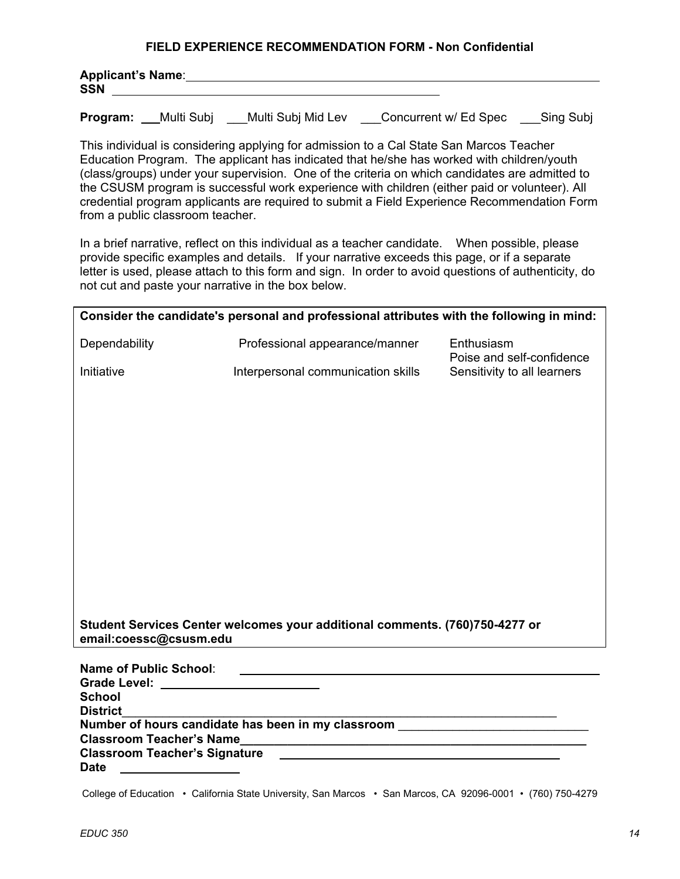#### **FIELD EXPERIENCE RECOMMENDATION FORM - Non Confidential**

| <b>Applicant's Name:</b> |  |  |
|--------------------------|--|--|
| <b>SSN</b>               |  |  |
|                          |  |  |

**Program:** \_\_Multi Subj \_\_\_Multi Subj Mid Lev \_\_\_Concurrent w/ Ed Spec \_\_ Sing Subj

This individual is considering applying for admission to a Cal State San Marcos Teacher Education Program. The applicant has indicated that he/she has worked with children/youth (class/groups) under your supervision. One of the criteria on which candidates are admitted to the CSUSM program is successful work experience with children (either paid or volunteer). All credential program applicants are required to submit a Field Experience Recommendation Form from a public classroom teacher.

 In a brief narrative, reflect on this individual as a teacher candidate. When possible, please provide specific examples and details. If your narrative exceeds this page, or if a separate letter is used, please attach to this form and sign. In order to avoid questions of authenticity, do not cut and paste your narrative in the box below.

|                                                                                                                | Consider the candidate's personal and professional attributes with the following in mind:                            |                                         |
|----------------------------------------------------------------------------------------------------------------|----------------------------------------------------------------------------------------------------------------------|-----------------------------------------|
| Dependability                                                                                                  | Professional appearance/manner                                                                                       | Enthusiasm<br>Poise and self-confidence |
| Initiative                                                                                                     | Interpersonal communication skills                                                                                   | Sensitivity to all learners             |
|                                                                                                                |                                                                                                                      |                                         |
|                                                                                                                |                                                                                                                      |                                         |
|                                                                                                                |                                                                                                                      |                                         |
|                                                                                                                |                                                                                                                      |                                         |
|                                                                                                                |                                                                                                                      |                                         |
|                                                                                                                |                                                                                                                      |                                         |
|                                                                                                                |                                                                                                                      |                                         |
|                                                                                                                |                                                                                                                      |                                         |
|                                                                                                                |                                                                                                                      |                                         |
|                                                                                                                |                                                                                                                      |                                         |
|                                                                                                                | Student Services Center welcomes your additional comments. (760)750-4277 or                                          |                                         |
| email:coessc@csusm.edu                                                                                         |                                                                                                                      |                                         |
| <b>Name of Public School:</b>                                                                                  | <u> 1980 - John Stone, mars and de la population de la population de la population de la population de la popula</u> |                                         |
| Grade Level: Example 2014 and 2014 and 2014 and 2014 and 2014 and 2014 and 2014 and 2014 and 2014 and 2014 and |                                                                                                                      |                                         |
| <b>School</b><br><b>District</b>                                                                               |                                                                                                                      |                                         |
|                                                                                                                |                                                                                                                      |                                         |
| <b>Classroom Teacher's Name</b><br><b>Classroom Teacher's Signature</b>                                        | <u> 1989 - Johann John Stein, marwolaeth a brenin a brenin a brenin a brenin a brenin a brenin a brenin a brenin</u> |                                         |
| <b>Date</b>                                                                                                    |                                                                                                                      |                                         |

College of Education • California State University, San Marcos • San Marcos, CA 92096-0001 • (760) 750-4279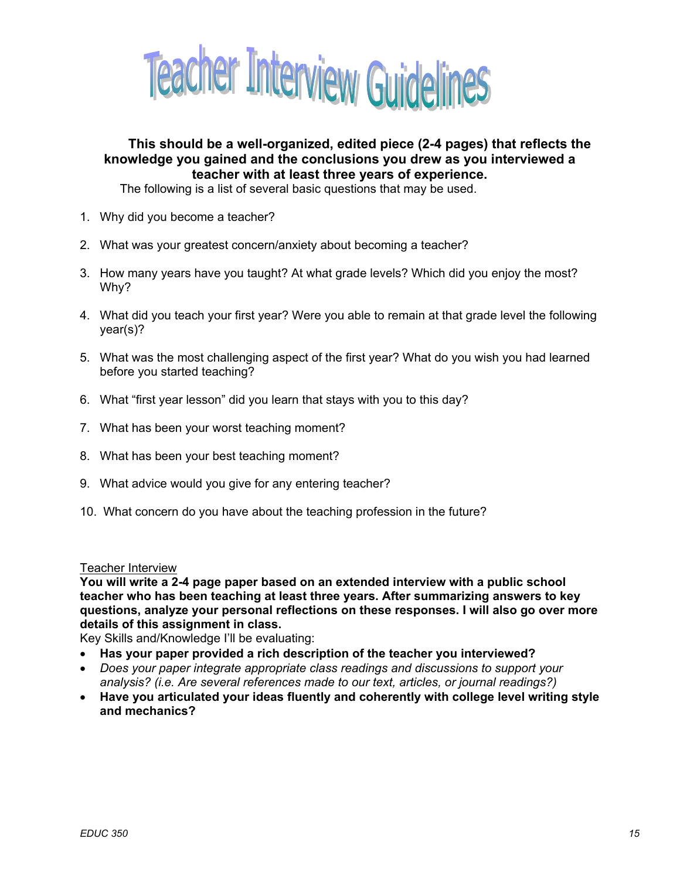

# **This should be a well-organized, edited piece (2-4 pages) that reflects the knowledge you gained and the conclusions you drew as you interviewed a teacher with at least three years of experience.**

The following is a list of several basic questions that may be used.

- 1. Why did you become a teacher?
- 2. What was your greatest concern/anxiety about becoming a teacher?
- 3. How many years have you taught? At what grade levels? Which did you enjoy the most? Why?
- 4. What did you teach your first year? Were you able to remain at that grade level the following year(s)?
- 5. What was the most challenging aspect of the first year? What do you wish you had learned before you started teaching?
- 6. What "first year lesson" did you learn that stays with you to this day?
- 7. What has been your worst teaching moment?
- 8. What has been your best teaching moment?
- 9. What advice would you give for any entering teacher?
- 10. What concern do you have about the teaching profession in the future?

#### Teacher Interview

**You will write a 2-4 page paper based on an extended interview with a public school teacher who has been teaching at least three years. After summarizing answers to key questions, analyze your personal reflections on these responses. I will also go over more details of this assignment in class.** 

Key Skills and/Knowledge I'll be evaluating:

- **Has your paper provided a rich description of the teacher you interviewed?**
- *Does your paper integrate appropriate class readings and discussions to support your analysis? (i.e. Are several references made to our text, articles, or journal readings?)*
- **Have you articulated your ideas fluently and coherently with college level writing style and mechanics?**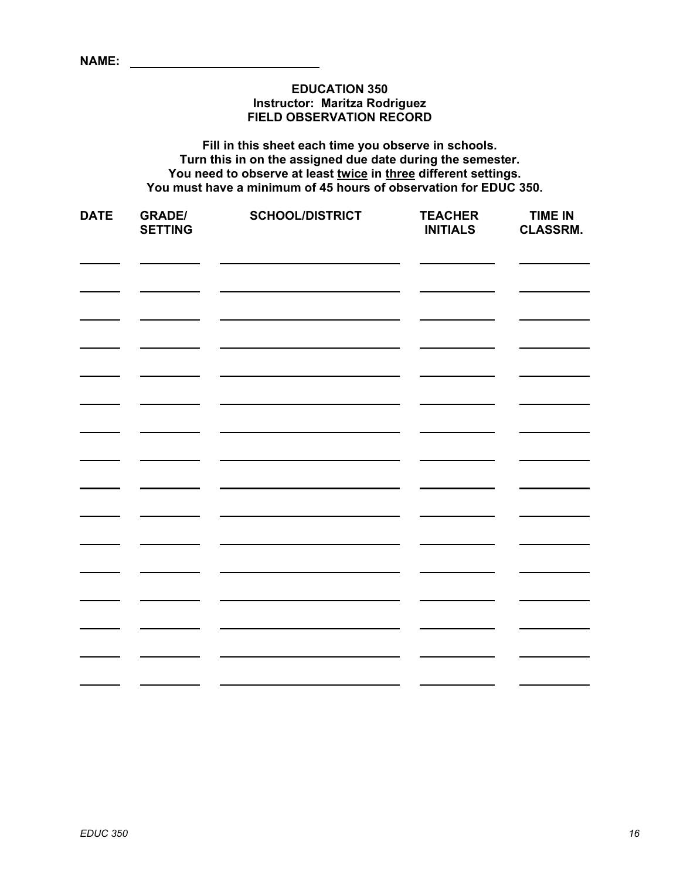### **EDUCATION 350 Instructor: Maritza Rodriguez FIELD OBSERVATION RECORD**

**Fill in this sheet each time you observe in schools. Turn this in on the assigned due date during the semester. You need to observe at least twice in three different settings. You must have a minimum of 45 hours of observation for EDUC 350.** 

| <b>DATE</b> | <b>GRADE/</b><br><b>SETTING</b> | <b>SCHOOL/DISTRICT</b> | <b>TEACHER</b><br><b>INITIALS</b> | <b>TIME IN</b><br><b>CLASSRM.</b> |
|-------------|---------------------------------|------------------------|-----------------------------------|-----------------------------------|
|             |                                 |                        |                                   |                                   |
|             |                                 |                        |                                   |                                   |
|             |                                 |                        |                                   |                                   |
|             |                                 |                        |                                   |                                   |
|             |                                 |                        |                                   |                                   |
|             |                                 |                        |                                   |                                   |
|             |                                 |                        |                                   |                                   |
|             |                                 |                        |                                   |                                   |
|             |                                 |                        |                                   |                                   |
|             |                                 |                        |                                   |                                   |
|             |                                 |                        |                                   |                                   |
|             |                                 |                        |                                   |                                   |
|             |                                 |                        |                                   |                                   |
|             |                                 |                        |                                   |                                   |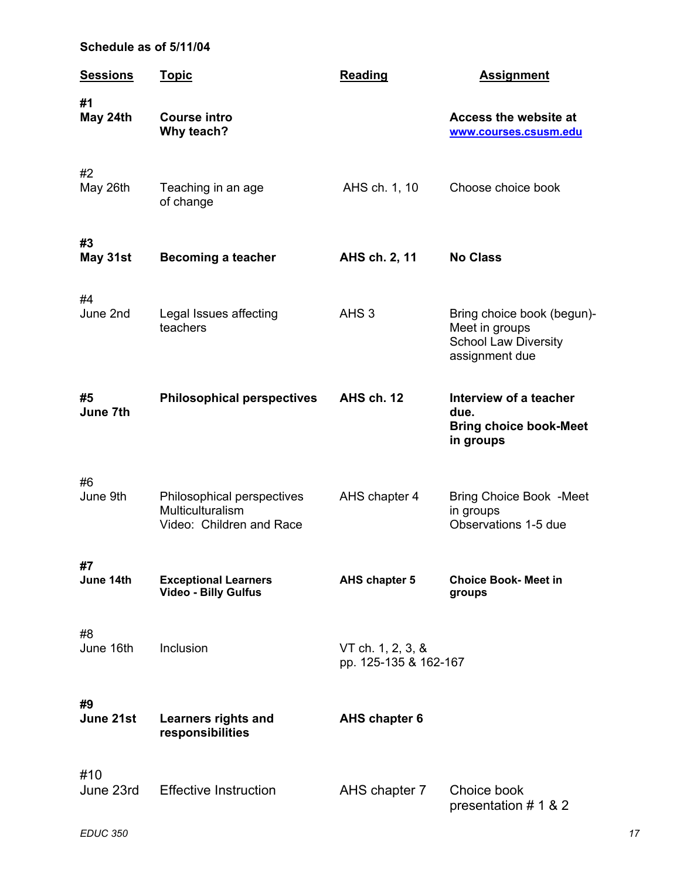# **Schedule as of 5/11/04**

| <b>Sessions</b>  | <u>Topic</u>                                                               | <b>Reading</b>                             | <b>Assignment</b>                                                                             |
|------------------|----------------------------------------------------------------------------|--------------------------------------------|-----------------------------------------------------------------------------------------------|
| #1<br>May 24th   | <b>Course intro</b><br>Why teach?                                          |                                            | Access the website at<br>www.courses.csusm.edu                                                |
| #2<br>May 26th   | Teaching in an age<br>of change                                            | AHS ch. 1, 10                              | Choose choice book                                                                            |
| #3<br>May 31st   | <b>Becoming a teacher</b>                                                  | AHS ch. 2, 11                              | <b>No Class</b>                                                                               |
| #4<br>June 2nd   | Legal Issues affecting<br>teachers                                         | AHS <sub>3</sub>                           | Bring choice book (begun)-<br>Meet in groups<br><b>School Law Diversity</b><br>assignment due |
| #5<br>June 7th   | <b>Philosophical perspectives</b>                                          | AHS ch. 12                                 | Interview of a teacher<br>due.<br><b>Bring choice book-Meet</b><br>in groups                  |
| #6<br>June 9th   | Philosophical perspectives<br>Multiculturalism<br>Video: Children and Race | AHS chapter 4                              | <b>Bring Choice Book -Meet</b><br>in groups<br>Observations 1-5 due                           |
| #7<br>June 14th  | <b>Exceptional Learners</b><br><b>Video - Billy Gulfus</b>                 | AHS chapter 5                              | <b>Choice Book- Meet in</b><br>groups                                                         |
| #8<br>June 16th  | Inclusion                                                                  | VT ch. 1, 2, 3, &<br>pp. 125-135 & 162-167 |                                                                                               |
| #9<br>June 21st  | <b>Learners rights and</b><br>responsibilities                             | <b>AHS chapter 6</b>                       |                                                                                               |
| #10<br>June 23rd | <b>Effective Instruction</b>                                               | AHS chapter 7                              | Choice book<br>presentation # 1 & 2                                                           |